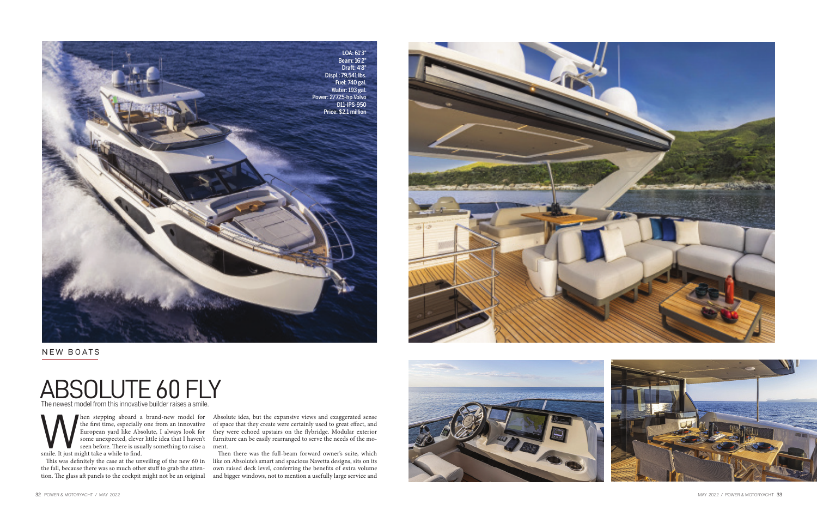## ABSOLUTE 60 FLY The newest model from this innovative builder raises a smile.

NEW BOATS



the first time, especially one from an innovative<br>European yard like Absolute, I always look for<br>some unexpected, clever little idea that I haven't<br>seen before. There is usually something to raise a<br>smile. It just might ta the first time, especially one from an innovative European yard like Absolute, I always look for some unexpected, clever little idea that I haven't seen before. There is usually something to raise a ment. smile. It just might take a while to find.

Then stepping aboard a brand-new model for Absolute idea, but the expansive views and exaggerated sense of space that they create were certainly used to great effect, and they were echoed upstairs on the flybridge. Modular exterior furniture can be easily rearranged to serve the needs of the mo-

the fall, because there was so much other stuff to grab the attention. The glass aft panels to the cockpit might not be an original

This was definitely the case at the unveiling of the new 60 in like on Absolute's smart and spacious Navetta designs, sits on its Then there was the full-beam forward owner's suite, which own raised deck level, conferring the benefits of extra volume and bigger windows, not to mention a usefully large service and